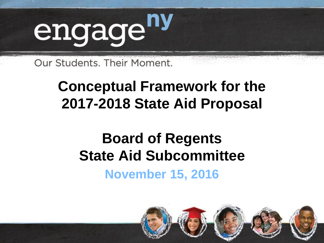

Our Students, Their Moment.

#### **Conceptual Framework for the 2017-2018 State Aid Proposal**

#### **Board of Regents State Aid Subcommittee November 15, 2016**

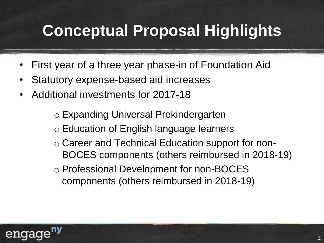## **Conceptual Proposal Highlights**

- First year of a three year phase-in of Foundation Aid
- Statutory expense-based aid increases
- Additional investments for 2017-18

o Expanding Universal Prekindergarten o Education of English language learners o Career and Technical Education support for non-BOCES components (others reimbursed in 2018-19) o Professional Development for non-BOCES components (others reimbursed in 2018-19)

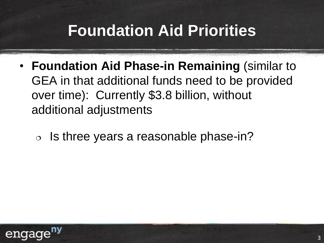### **Foundation Aid Priorities**

- **Foundation Aid Phase-in Remaining** (similar to GEA in that additional funds need to be provided over time): Currently \$3.8 billion, without additional adjustments
	- $\circ$  Is three years a reasonable phase-in?

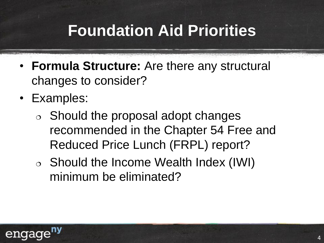# **Foundation Aid Priorities**

- **Formula Structure:** Are there any structural changes to consider?
- Examples:
	- $\circ$  Should the proposal adopt changes recommended in the Chapter 54 Free and Reduced Price Lunch (FRPL) report?
	- $\circ$  Should the Income Wealth Index (IWI) minimum be eliminated?

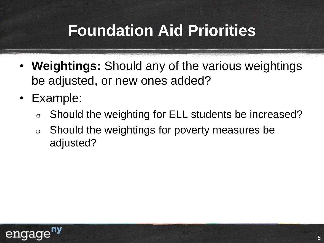# **Foundation Aid Priorities**

- **Weightings:** Should any of the various weightings be adjusted, or new ones added?
- Example:
	- $\circ$  Should the weighting for ELL students be increased?
	- $\circ$  Should the weightings for poverty measures be adjusted?

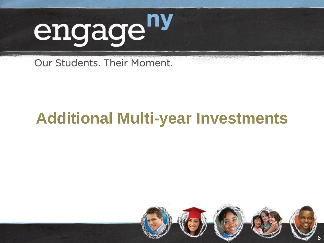

Our Students. Their Moment.

# **Additional Multi-year Investments**

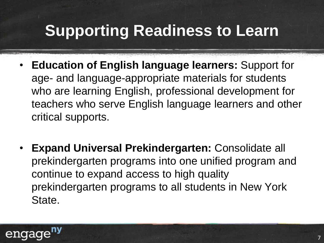## **Supporting Readiness to Learn**

- **Education of English language learners:** Support for age- and language-appropriate materials for students who are learning English, professional development for teachers who serve English language learners and other critical supports.
- **Expand Universal Prekindergarten:** Consolidate all prekindergarten programs into one unified program and continue to expand access to high quality prekindergarten programs to all students in New York State.